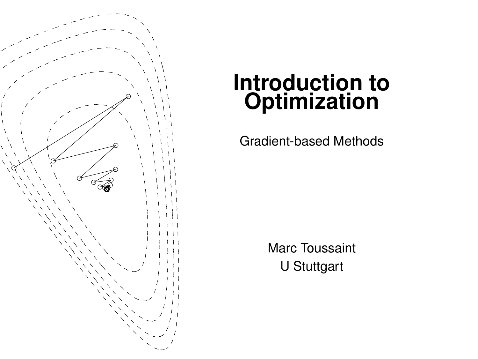

# **Introduction to Optimization**

Gradient-based Methods

Marc Toussaint U Stuttgart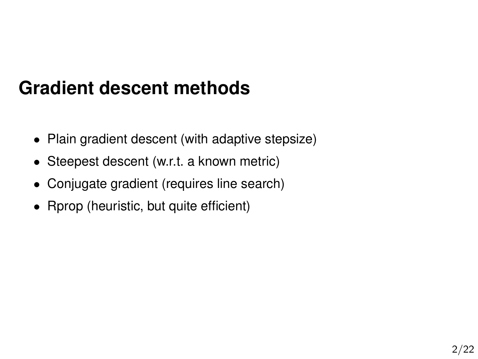# **Gradient descent methods**

- Plain gradient descent (with adaptive stepsize)
- Steepest descent (w.r.t. a known metric)
- Conjugate gradient (requires line search)
- Rprop (heuristic, but quite efficient)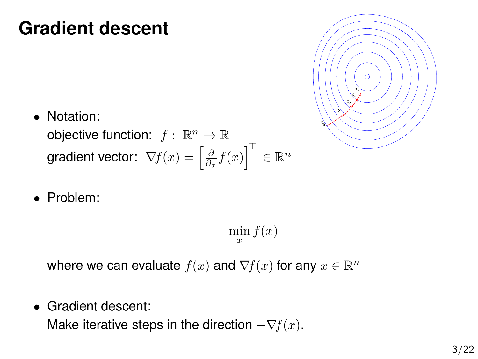### **Gradient descent**

• Notation:

objective function:  $f: \mathbb{R}^n \to \mathbb{R}$ gradient vector:  $\,\nabla\!f(x)=\left[\frac{\partial}{\partial_x}f(x)\right]^{\top}\,\in\mathbb{R}^n$ 

• Problem:

 $\min_{x} f(x)$ 

where we can evaluate  $f(x)$  and  $\nabla f(x)$  for any  $x \in \mathbb{R}^n$ 

• Gradient descent:

Make iterative steps in the direction  $-\nabla f(x)$ .

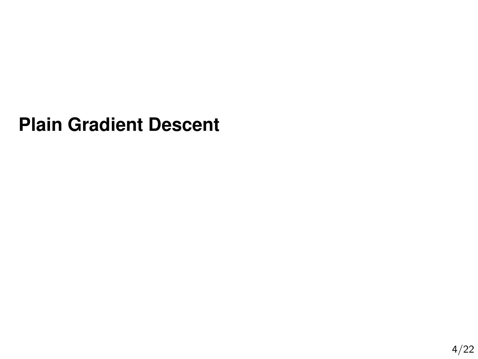### **Plain Gradient Descent**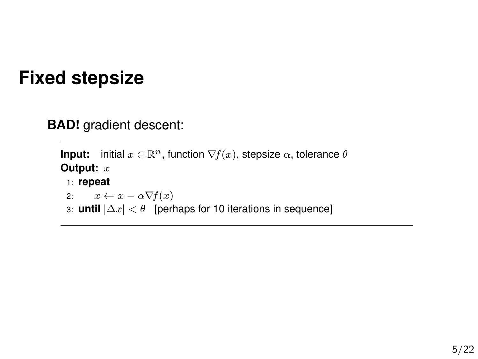### **Fixed stepsize**

**BAD!** gradient descent:

```
Input: initial x \in \mathbb{R}^n, function \nabla f(x), stepsize \alpha, tolerance \thetaOutput: x
 1: repeat
 2: x \leftarrow x - \alpha \nabla f(x)3: until |∆x| < θ [perhaps for 10 iterations in sequence]
```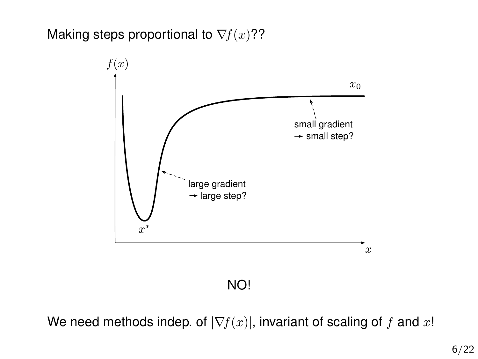#### Making steps proportional to  $\nabla f(x)$ ??



#### NO!

We need methods indep. of  $|\nabla f(x)|$ , invariant of scaling of f and x!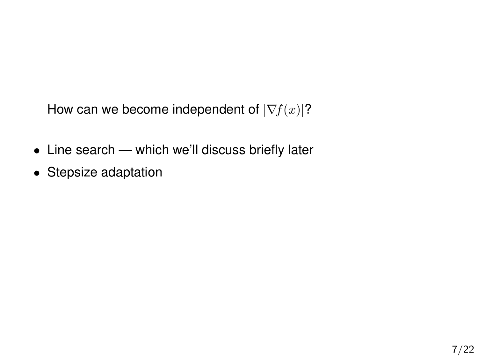How can we become independent of  $|\nabla f(x)|$ ?

- Line search which we'll discuss briefly later
- Stepsize adaptation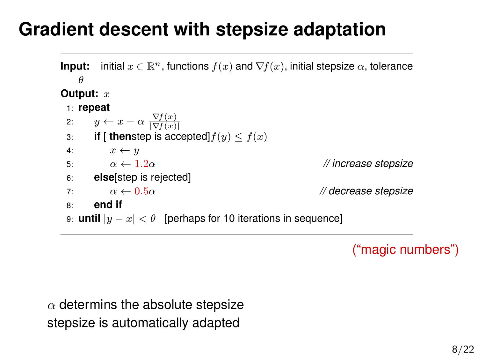# **Gradient descent with stepsize adaptation**

```
Input: initial x \in \mathbb{R}^n, functions f(x) and \nabla f(x), initial stepsize \alpha, tolerance
    θ
Output: x
 1: repeat
 2: y \leftarrow x - \alpha \frac{\nabla f(x)}{|\nabla f(x)|}3: if [ then step is accepted] f(y) \leq f(x)4: x \leftarrow y5: \alpha \leftarrow 1.2\alpha // increase stepsize
 6: else[step is rejected]
 7: \alpha \leftarrow 0.5\alpha // decrease stepsize
 8: end if
 9: until |y - x| < \theta [perhaps for 10 iterations in sequence]
```
("magic numbers")

 $\alpha$  determins the absolute stepsize stepsize is automatically adapted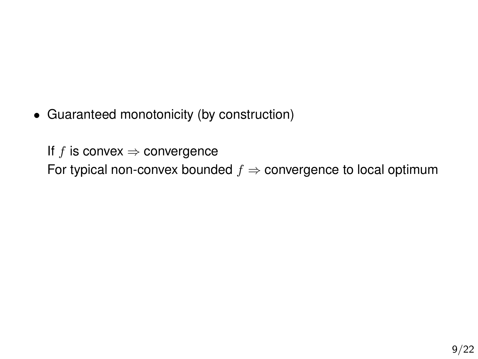• Guaranteed monotonicity (by construction)

If f is convex  $\Rightarrow$  convergence For typical non-convex bounded  $f \Rightarrow$  convergence to local optimum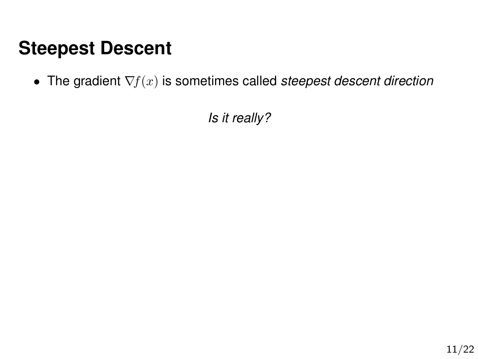• The gradient ∇f(x) is sometimes called *steepest descent direction*

*Is it really?*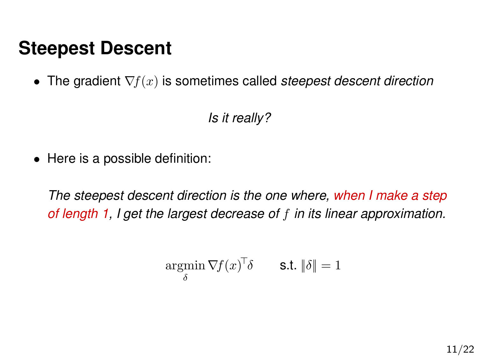• The gradient ∇f(x) is sometimes called *steepest descent direction*

*Is it really?*

• Here is a possible definition:

*The steepest descent direction is the one where, when I make a step of length 1, I get the largest decrease of* f *in its linear approximation.*

$$
\operatorname*{argmin}_{\delta} \nabla f(x)^{\top} \delta \qquad \text{s.t. } \|\delta\| = 1
$$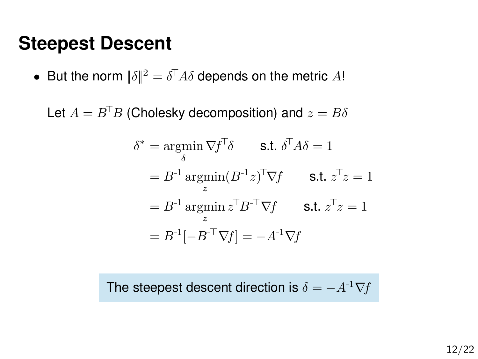• But the norm  $\|\delta\|^2=\delta^\top A\delta$  depends on the metric  $A!$ 

Let  $A = B^{\top}B$  (Cholesky decomposition) and  $z = B\delta$ 

$$
\delta^* = \underset{\delta}{\operatorname{argmin}} \nabla f^\top \delta \qquad \text{s.t. } \delta^\top A \delta = 1
$$
  
=  $B^{-1} \underset{z}{\operatorname{argmin}} (B^{-1} z)^\top \nabla f \qquad \text{s.t. } z^\top z = 1$   
=  $B^{-1} \underset{z}{\operatorname{argmin}} z^\top B^{-\top} \nabla f \qquad \text{s.t. } z^\top z = 1$   
=  $B^{-1}[-B^{-\top} \nabla f] = -A^{-1} \nabla f$ 

The steepest descent direction is  $\delta = -A^{-1}\nabla f$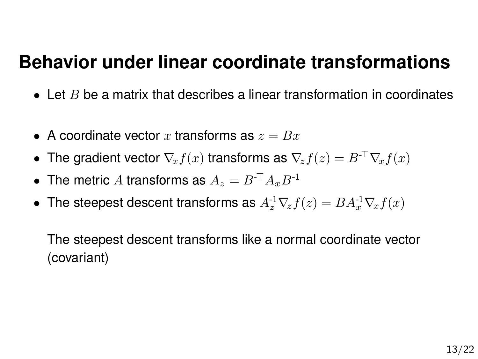#### **Behavior under linear coordinate transformations**

- $\bullet$  Let B be a matrix that describes a linear transformation in coordinates
- A coordinate vector x transforms as  $z = Bx$
- The gradient vector  $\nabla_x f(x)$  transforms as  $\nabla_z f(z) = B^{-\top} \nabla_x f(x)$
- The metric A transforms as  $A_z = B^{-\top} A_x B^{-1}$
- The steepest descent transforms as  $A_z^1 \nabla_z f(z) = BA_x^1 \nabla_x f(x)$

The steepest descent transforms like a normal coordinate vector (covariant)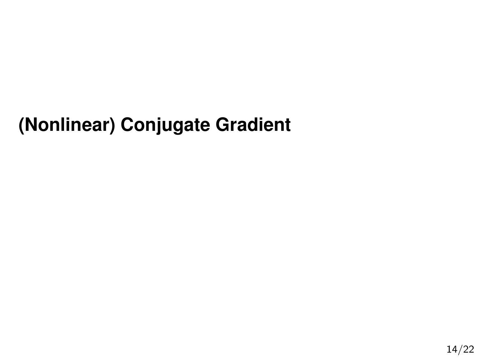# **(Nonlinear) Conjugate Gradient**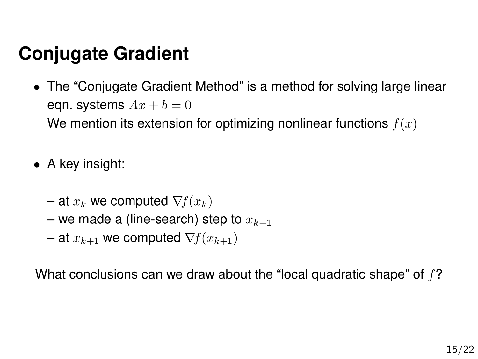- The "Conjugate Gradient Method" is a method for solving large linear eqn. systems  $Ax + b = 0$ We mention its extension for optimizing nonlinear functions  $f(x)$
- A key insight:
	- at  $x_k$  we computed  $\nabla f(x_k)$
	- we made a (line-search) step to  $x_{k+1}$
	- at  $x_{k+1}$  we computed  $\nabla f(x_{k+1})$

What conclusions can we draw about the "local quadratic shape" of  $f$ ?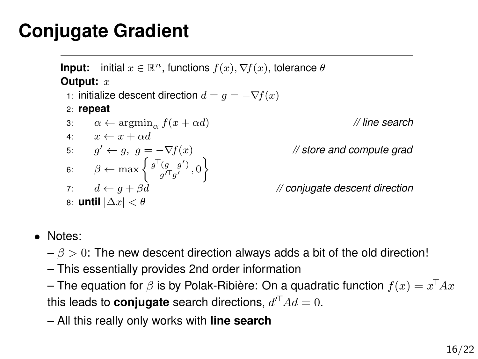**Input:** initial  $x \in \mathbb{R}^n$ , functions  $f(x)$ ,  $\nabla f(x)$ , tolerance  $\theta$ **Output:** x 1: initialize descent direction  $d = g = -\nabla f(x)$ 2: **repeat** 3:  $\alpha \leftarrow \operatorname{argmin}_{\alpha} f(x + \alpha d)$  // line search 4:  $x \leftarrow x + \alpha d$ 5:  $g' \leftarrow g$ ,  $g = -\nabla f(x)$ *// store and compute grad* 6:  $\beta \leftarrow \max \left\{ \frac{g^{\top}(g-g')}{g'^{\top}g'} , 0 \right\}$ 7:  $d \leftarrow g + \beta d$  // conjugate descent direction 8: **until** |∆x| < θ

- Notes:
	- $-\beta > 0$ : The new descent direction always adds a bit of the old direction!
	- This essentially provides 2nd order information
	- The equation for  $\beta$  is by Polak-Ribière: On a quadratic function  $f(x) = x^\top A x$ this leads to **conjugate** search directions,  $d^{\prime \top} A d = 0$ .
	- All this really only works with **line search**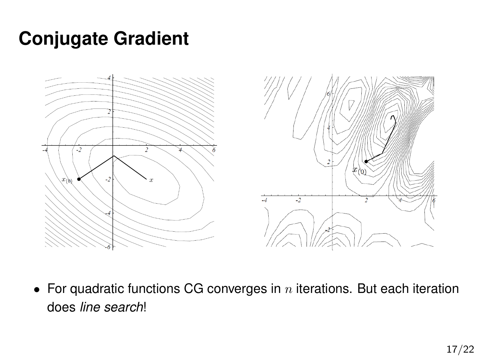

• For quadratic functions CG converges in  $n$  iterations. But each iteration does *line search*!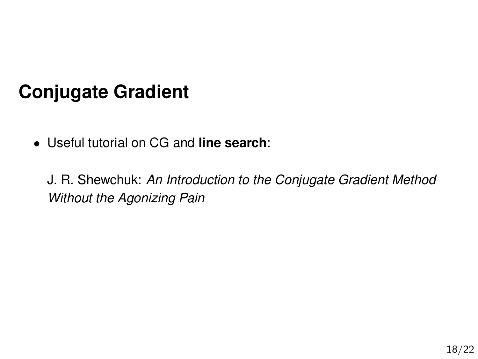• Useful tutorial on CG and **line search**:

J. R. Shewchuk: *An Introduction to the Conjugate Gradient Method Without the Agonizing Pain*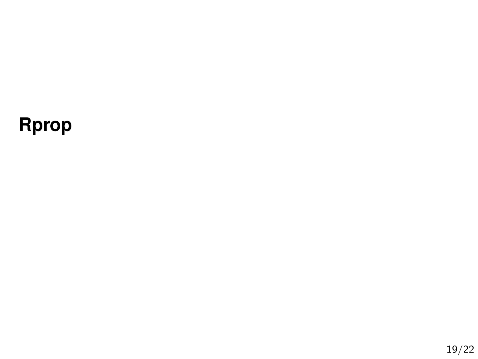# **Rprop**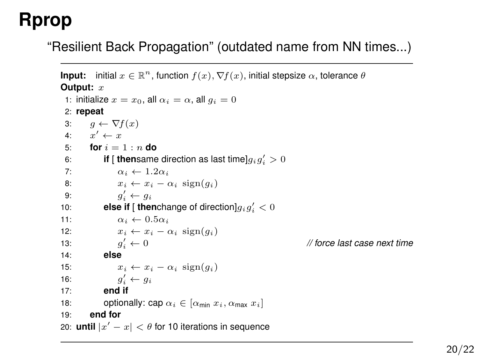# **Rprop**

"Resilient Back Propagation" (outdated name from NN times...)

```
Input: initial x \in \mathbb{R}^n, function f(x), \nabla f(x), initial stepsize \alpha, tolerance \thetaOutput: x
 1: initialize x = x_0, all \alpha_i = \alpha, all q_i = 02: repeat
 3: a \leftarrow \nabla f(x)4: x' \leftarrow x5: for i = 1 : n do
  6: if [ thensame direction as last time]g_i g'_i > 07: \alpha_i \leftarrow 1.2\alpha_i8: x_i \leftarrow x_i - \alpha_i \operatorname{sign}(q_i)9: g'_i \leftarrow g_i10: else if [ thenchange of direction]g_i g'_i < 011: \alpha_i \leftarrow 0.5\alpha_i12: x_i \leftarrow x_i - \alpha_i \operatorname{sign}(q_i)13<sup>°</sup>q'_{i} \leftarrow 0i ← 0 // force last case next time
14: else
15: x_i \leftarrow x_i - \alpha_i \operatorname{sign}(q_i)16: g'_i \leftarrow g_i17: end if
18: optionally: cap \alpha_i \in [\alpha_{\min} x_i, \alpha_{\max} x_i]19: end for
20: until |x'-x| < \theta for 10 iterations in sequence
```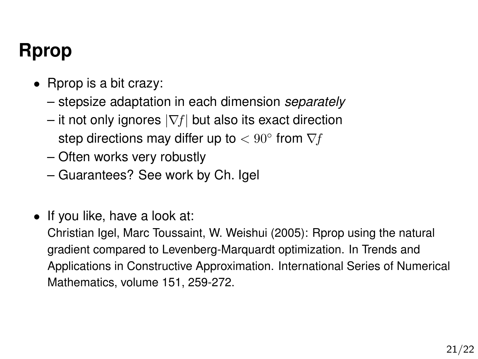# **Rprop**

- Rprop is a bit crazy:
	- stepsize adaptation in each dimension *separately*
	- it not only ignores  $|\nabla f|$  but also its exact direction step directions may differ up to  $< 90^{\circ}$  from  $\nabla f$
	- Often works very robustly
	- Guarantees? See work by Ch. Igel
- If you like, have a look at:

Christian Igel, Marc Toussaint, W. Weishui (2005): Rprop using the natural gradient compared to Levenberg-Marquardt optimization. In Trends and Applications in Constructive Approximation. International Series of Numerical Mathematics, volume 151, 259-272.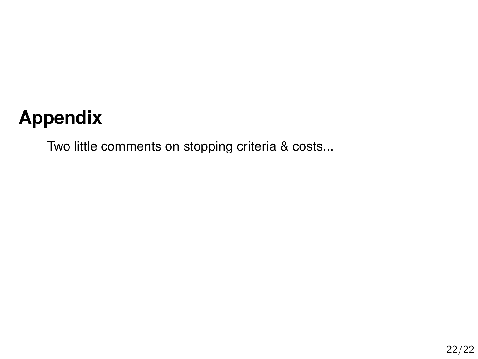# **Appendix**

Two little comments on stopping criteria & costs...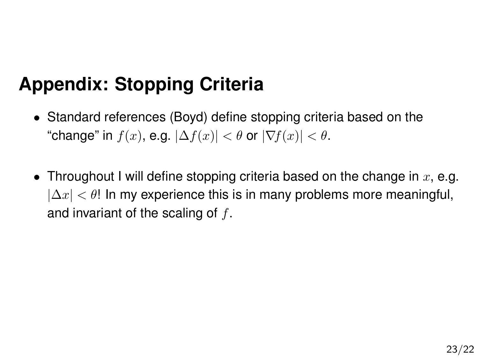# **Appendix: Stopping Criteria**

- Standard references (Boyd) define stopping criteria based on the "change" in  $f(x)$ , e.g.  $|\Delta f(x)| < \theta$  or  $|\nabla f(x)| < \theta$ .
- Throughout I will define stopping criteria based on the change in  $x$ , e.g.  $|\Delta x| < \theta$ ! In my experience this is in many problems more meaningful, and invariant of the scaling of  $f$ .